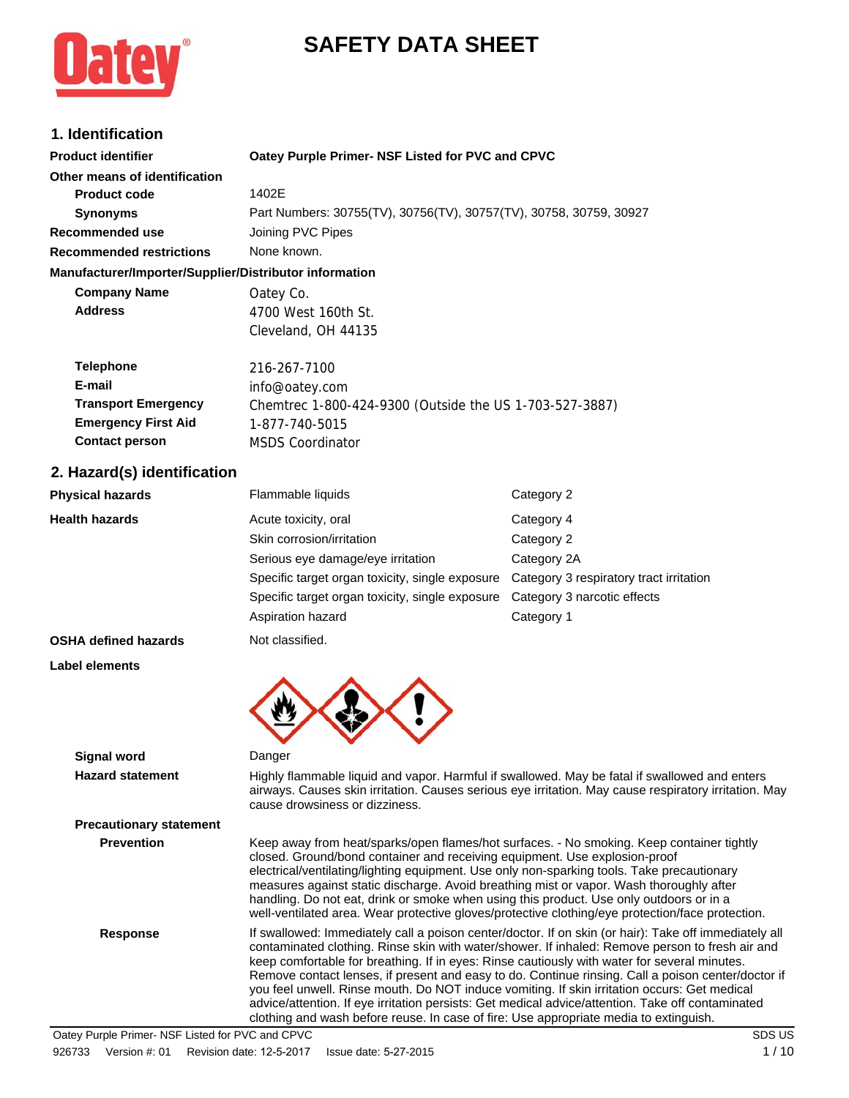# **SAFETY DATA SHEET**



# **1. Identification**

| <b>Product identifier</b>                              | Oatey Purple Primer- NSF Listed for PVC and CPVC                   |                                         |  |
|--------------------------------------------------------|--------------------------------------------------------------------|-----------------------------------------|--|
| Other means of identification                          |                                                                    |                                         |  |
| <b>Product code</b>                                    | 1402E                                                              |                                         |  |
| <b>Synonyms</b>                                        | Part Numbers: 30755(TV), 30756(TV), 30757(TV), 30758, 30759, 30927 |                                         |  |
| <b>Recommended use</b>                                 | Joining PVC Pipes                                                  |                                         |  |
| <b>Recommended restrictions</b>                        | None known.                                                        |                                         |  |
| Manufacturer/Importer/Supplier/Distributor information |                                                                    |                                         |  |
| <b>Company Name</b>                                    | Oatey Co.                                                          |                                         |  |
| <b>Address</b>                                         | 4700 West 160th St.                                                |                                         |  |
|                                                        | Cleveland, OH 44135                                                |                                         |  |
| <b>Telephone</b>                                       | 216-267-7100                                                       |                                         |  |
| E-mail                                                 | info@oatey.com                                                     |                                         |  |
| <b>Transport Emergency</b>                             | Chemtrec 1-800-424-9300 (Outside the US 1-703-527-3887)            |                                         |  |
| <b>Emergency First Aid</b>                             | 1-877-740-5015                                                     |                                         |  |
| <b>Contact person</b>                                  | <b>MSDS Coordinator</b>                                            |                                         |  |
| 2. Hazard(s) identification                            |                                                                    |                                         |  |
| <b>Physical hazards</b>                                | Flammable liquids                                                  | Category 2                              |  |
| <b>Health hazards</b>                                  | Acute toxicity, oral                                               | Category 4                              |  |
|                                                        | Skin corrosion/irritation                                          | Category 2                              |  |
|                                                        | Serious eye damage/eye irritation                                  | Category 2A                             |  |
|                                                        | Specific target organ toxicity, single exposure                    | Category 3 respiratory tract irritation |  |
|                                                        | Specific target organ toxicity, single exposure                    | Category 3 narcotic effects             |  |

**OSHA defined hazards** Not classified.

**Label elements**



| <b>Signal word</b>             | Danger                                                                                                                                                                                                                                                                                                                                                                                                                                                                                                                                                                                                                                                                                                       |
|--------------------------------|--------------------------------------------------------------------------------------------------------------------------------------------------------------------------------------------------------------------------------------------------------------------------------------------------------------------------------------------------------------------------------------------------------------------------------------------------------------------------------------------------------------------------------------------------------------------------------------------------------------------------------------------------------------------------------------------------------------|
| <b>Hazard statement</b>        | Highly flammable liquid and vapor. Harmful if swallowed. May be fatal if swallowed and enters<br>airways. Causes skin irritation. Causes serious eye irritation. May cause respiratory irritation. May<br>cause drowsiness or dizziness.                                                                                                                                                                                                                                                                                                                                                                                                                                                                     |
| <b>Precautionary statement</b> |                                                                                                                                                                                                                                                                                                                                                                                                                                                                                                                                                                                                                                                                                                              |
| <b>Prevention</b>              | Keep away from heat/sparks/open flames/hot surfaces. - No smoking. Keep container tightly<br>closed. Ground/bond container and receiving equipment. Use explosion-proof<br>electrical/ventilating/lighting equipment. Use only non-sparking tools. Take precautionary<br>measures against static discharge. Avoid breathing mist or vapor. Wash thoroughly after<br>handling. Do not eat, drink or smoke when using this product. Use only outdoors or in a<br>well-ventilated area. Wear protective gloves/protective clothing/eye protection/face protection.                                                                                                                                              |
| <b>Response</b>                | If swallowed: Immediately call a poison center/doctor. If on skin (or hair): Take off immediately all<br>contaminated clothing. Rinse skin with water/shower. If inhaled: Remove person to fresh air and<br>keep comfortable for breathing. If in eyes: Rinse cautiously with water for several minutes.<br>Remove contact lenses, if present and easy to do. Continue rinsing. Call a poison center/doctor if<br>you feel unwell. Rinse mouth. Do NOT induce vomiting. If skin irritation occurs: Get medical<br>advice/attention. If eye irritation persists: Get medical advice/attention. Take off contaminated<br>clothing and wash before reuse. In case of fire: Use appropriate media to extinguish. |

Aspiration hazard **Category 1**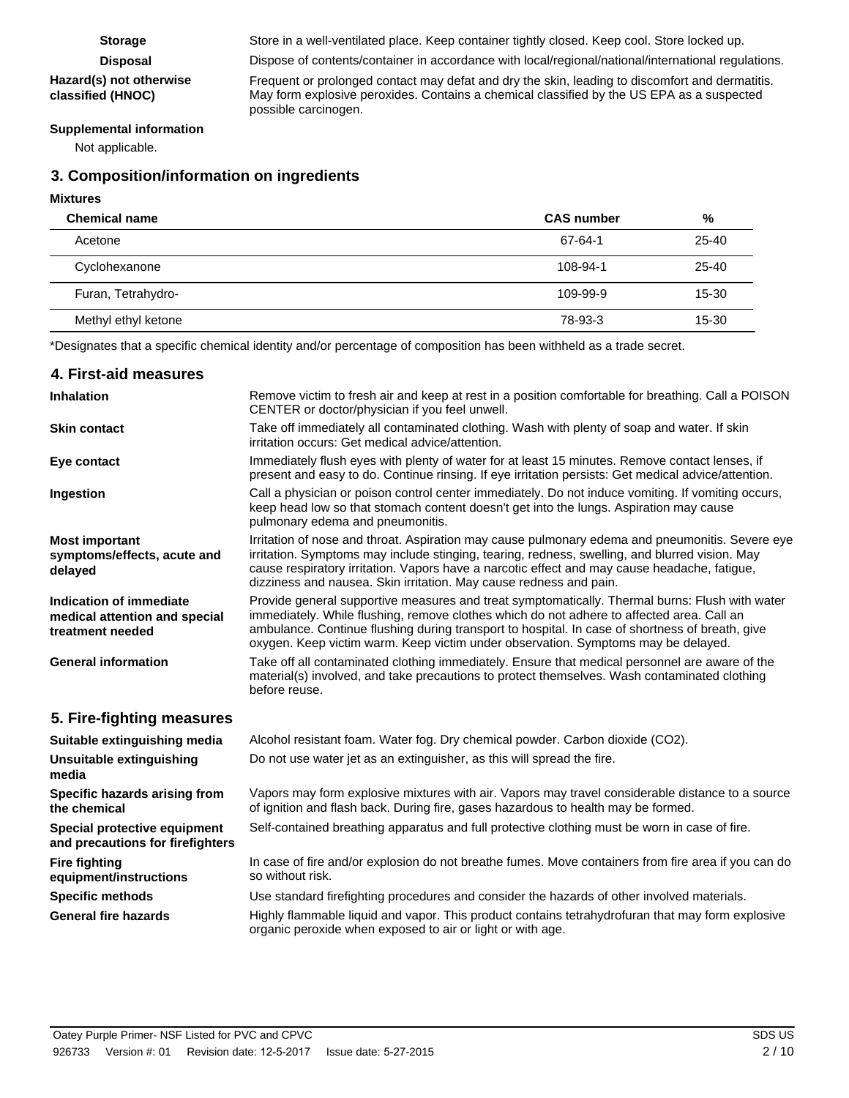#### **Hazard(s) not otherwise classified (HNOC)**

Storage Store in a well-ventilated place. Keep container tightly closed. Keep cool. Store locked up. **Disposal** Dispose of contents/container in accordance with local/regional/national/international regulations.

Frequent or prolonged contact may defat and dry the skin, leading to discomfort and dermatitis. May form explosive peroxides. Contains a chemical classified by the US EPA as a suspected possible carcinogen.

#### **Supplemental information**

Not applicable.

# **3. Composition/information on ingredients**

#### **Mixtures**

| <b>Chemical name</b> | <b>CAS</b> number | %         |
|----------------------|-------------------|-----------|
| Acetone              | 67-64-1           | 25-40     |
| Cyclohexanone        | 108-94-1          | 25-40     |
| Furan, Tetrahydro-   | 109-99-9          | 15-30     |
| Methyl ethyl ketone  | 78-93-3           | $15 - 30$ |
|                      |                   |           |

\*Designates that a specific chemical identity and/or percentage of composition has been withheld as a trade secret.

| 4. First-aid measures                                                        |                                                                                                                                                                                                                                                                                                                                                                                     |
|------------------------------------------------------------------------------|-------------------------------------------------------------------------------------------------------------------------------------------------------------------------------------------------------------------------------------------------------------------------------------------------------------------------------------------------------------------------------------|
| <b>Inhalation</b>                                                            | Remove victim to fresh air and keep at rest in a position comfortable for breathing. Call a POISON<br>CENTER or doctor/physician if you feel unwell.                                                                                                                                                                                                                                |
| <b>Skin contact</b>                                                          | Take off immediately all contaminated clothing. Wash with plenty of soap and water. If skin<br>irritation occurs: Get medical advice/attention.                                                                                                                                                                                                                                     |
| Eye contact                                                                  | Immediately flush eyes with plenty of water for at least 15 minutes. Remove contact lenses, if<br>present and easy to do. Continue rinsing. If eye irritation persists: Get medical advice/attention.                                                                                                                                                                               |
| Ingestion                                                                    | Call a physician or poison control center immediately. Do not induce vomiting. If vomiting occurs,<br>keep head low so that stomach content doesn't get into the lungs. Aspiration may cause<br>pulmonary edema and pneumonitis.                                                                                                                                                    |
| <b>Most important</b><br>symptoms/effects, acute and<br>delayed              | Irritation of nose and throat. Aspiration may cause pulmonary edema and pneumonitis. Severe eye<br>irritation. Symptoms may include stinging, tearing, redness, swelling, and blurred vision. May<br>cause respiratory irritation. Vapors have a narcotic effect and may cause headache, fatigue,<br>dizziness and nausea. Skin irritation. May cause redness and pain.             |
| Indication of immediate<br>medical attention and special<br>treatment needed | Provide general supportive measures and treat symptomatically. Thermal burns: Flush with water<br>immediately. While flushing, remove clothes which do not adhere to affected area. Call an<br>ambulance. Continue flushing during transport to hospital. In case of shortness of breath, give<br>oxygen. Keep victim warm. Keep victim under observation. Symptoms may be delayed. |
| <b>General information</b>                                                   | Take off all contaminated clothing immediately. Ensure that medical personnel are aware of the<br>material(s) involved, and take precautions to protect themselves. Wash contaminated clothing<br>before reuse.                                                                                                                                                                     |
| 5. Fire-fighting measures                                                    |                                                                                                                                                                                                                                                                                                                                                                                     |
| Suitable extinguishing media                                                 | Alcohol resistant foam. Water fog. Dry chemical powder. Carbon dioxide (CO2).                                                                                                                                                                                                                                                                                                       |
| Unsuitable extinguishing<br>media                                            | Do not use water jet as an extinguisher, as this will spread the fire.                                                                                                                                                                                                                                                                                                              |
| Specific hazards arising from<br>the chemical                                | Vapors may form explosive mixtures with air. Vapors may travel considerable distance to a source<br>of ignition and flash back. During fire, gases hazardous to health may be formed.                                                                                                                                                                                               |
| Special protective equipment<br>and precautions for firefighters             | Self-contained breathing apparatus and full protective clothing must be worn in case of fire.                                                                                                                                                                                                                                                                                       |
| <b>Fire fighting</b><br>equipment/instructions                               | In case of fire and/or explosion do not breathe fumes. Move containers from fire area if you can do<br>so without risk.                                                                                                                                                                                                                                                             |
| <b>Specific methods</b>                                                      | Use standard firefighting procedures and consider the hazards of other involved materials.                                                                                                                                                                                                                                                                                          |
| <b>General fire hazards</b>                                                  | Highly flammable liquid and vapor. This product contains tetrahydrofuran that may form explosive<br>organic peroxide when exposed to air or light or with age.                                                                                                                                                                                                                      |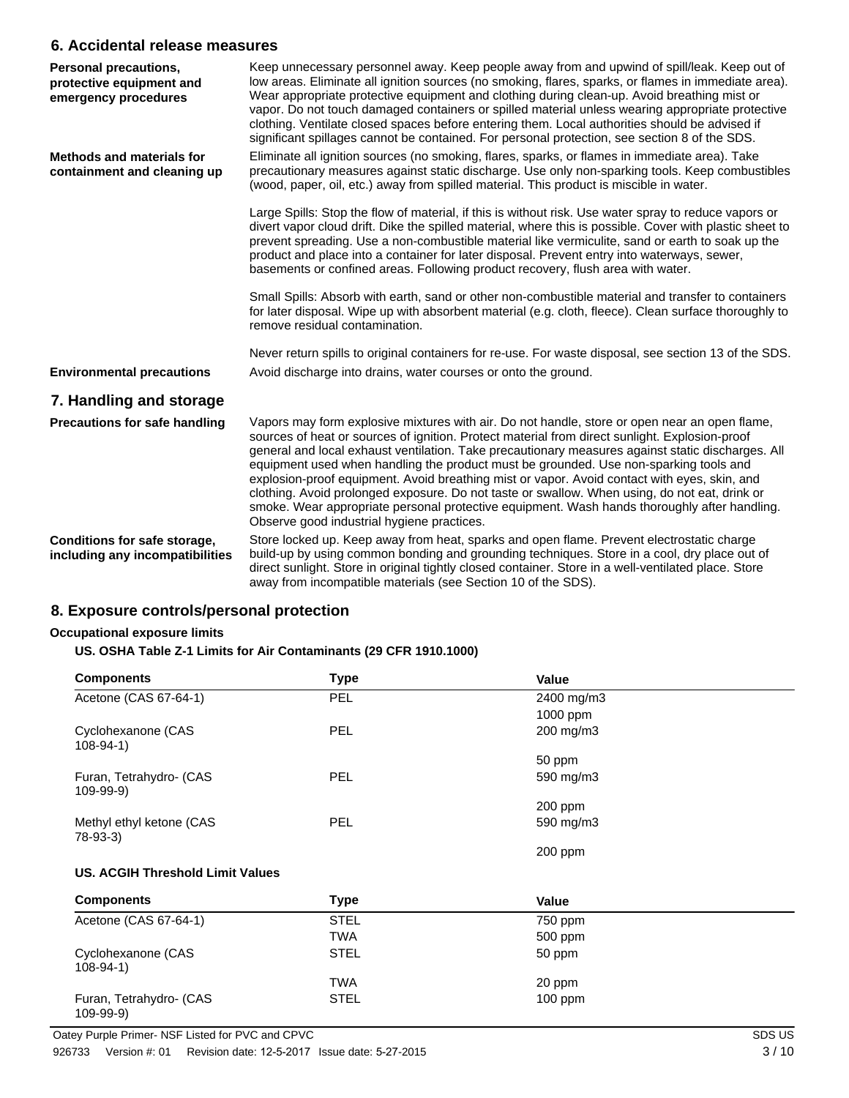### **6. Accidental release measures**

| Personal precautions,<br>protective equipment and<br>emergency procedures | Keep unnecessary personnel away. Keep people away from and upwind of spill/leak. Keep out of<br>low areas. Eliminate all ignition sources (no smoking, flares, sparks, or flames in immediate area).<br>Wear appropriate protective equipment and clothing during clean-up. Avoid breathing mist or<br>vapor. Do not touch damaged containers or spilled material unless wearing appropriate protective<br>clothing. Ventilate closed spaces before entering them. Local authorities should be advised if<br>significant spillages cannot be contained. For personal protection, see section 8 of the SDS.                                                                                                                                   |
|---------------------------------------------------------------------------|----------------------------------------------------------------------------------------------------------------------------------------------------------------------------------------------------------------------------------------------------------------------------------------------------------------------------------------------------------------------------------------------------------------------------------------------------------------------------------------------------------------------------------------------------------------------------------------------------------------------------------------------------------------------------------------------------------------------------------------------|
| <b>Methods and materials for</b><br>containment and cleaning up           | Eliminate all ignition sources (no smoking, flares, sparks, or flames in immediate area). Take<br>precautionary measures against static discharge. Use only non-sparking tools. Keep combustibles<br>(wood, paper, oil, etc.) away from spilled material. This product is miscible in water.                                                                                                                                                                                                                                                                                                                                                                                                                                                 |
|                                                                           | Large Spills: Stop the flow of material, if this is without risk. Use water spray to reduce vapors or<br>divert vapor cloud drift. Dike the spilled material, where this is possible. Cover with plastic sheet to<br>prevent spreading. Use a non-combustible material like vermiculite, sand or earth to soak up the<br>product and place into a container for later disposal. Prevent entry into waterways, sewer,<br>basements or confined areas. Following product recovery, flush area with water.                                                                                                                                                                                                                                      |
|                                                                           | Small Spills: Absorb with earth, sand or other non-combustible material and transfer to containers<br>for later disposal. Wipe up with absorbent material (e.g. cloth, fleece). Clean surface thoroughly to<br>remove residual contamination.                                                                                                                                                                                                                                                                                                                                                                                                                                                                                                |
|                                                                           | Never return spills to original containers for re-use. For waste disposal, see section 13 of the SDS.                                                                                                                                                                                                                                                                                                                                                                                                                                                                                                                                                                                                                                        |
| <b>Environmental precautions</b>                                          | Avoid discharge into drains, water courses or onto the ground.                                                                                                                                                                                                                                                                                                                                                                                                                                                                                                                                                                                                                                                                               |
| 7. Handling and storage                                                   |                                                                                                                                                                                                                                                                                                                                                                                                                                                                                                                                                                                                                                                                                                                                              |
| <b>Precautions for safe handling</b>                                      | Vapors may form explosive mixtures with air. Do not handle, store or open near an open flame,<br>sources of heat or sources of ignition. Protect material from direct sunlight. Explosion-proof<br>general and local exhaust ventilation. Take precautionary measures against static discharges. All<br>equipment used when handling the product must be grounded. Use non-sparking tools and<br>explosion-proof equipment. Avoid breathing mist or vapor. Avoid contact with eyes, skin, and<br>clothing. Avoid prolonged exposure. Do not taste or swallow. When using, do not eat, drink or<br>smoke. Wear appropriate personal protective equipment. Wash hands thoroughly after handling.<br>Observe good industrial hygiene practices. |
| Conditions for safe storage,<br>including any incompatibilities           | Store locked up. Keep away from heat, sparks and open flame. Prevent electrostatic charge<br>build-up by using common bonding and grounding techniques. Store in a cool, dry place out of<br>direct sunlight. Store in original tightly closed container. Store in a well-ventilated place. Store<br>away from incompatible materials (see Section 10 of the SDS).                                                                                                                                                                                                                                                                                                                                                                           |

# **8. Exposure controls/personal protection**

#### **Occupational exposure limits**

#### **US. OSHA Table Z-1 Limits for Air Contaminants (29 CFR 1910.1000)**

| <b>Components</b>                     | <b>Type</b> | Value      |  |
|---------------------------------------|-------------|------------|--|
| Acetone (CAS 67-64-1)                 | PEL         | 2400 mg/m3 |  |
|                                       |             | 1000 ppm   |  |
| Cyclohexanone (CAS<br>$108 - 94 - 1$  | <b>PEL</b>  | 200 mg/m3  |  |
|                                       |             | 50 ppm     |  |
| Furan, Tetrahydro- (CAS<br>$109-99-9$ | <b>PEL</b>  | 590 mg/m3  |  |
|                                       |             | 200 ppm    |  |
| Methyl ethyl ketone (CAS<br>78-93-3)  | <b>PEL</b>  | 590 mg/m3  |  |
|                                       |             | 200 ppm    |  |
| US. ACGIH Threshold Limit Values      |             |            |  |
| <b>Components</b>                     | <b>Type</b> | Value      |  |
| Acetone (CAS 67-64-1)                 | <b>STEL</b> | 750 ppm    |  |
|                                       | <b>TWA</b>  | 500 ppm    |  |
| Cyclohexanone (CAS<br>$108 - 94 - 1$  | <b>STEL</b> | 50 ppm     |  |
|                                       | <b>TWA</b>  | 20 ppm     |  |
| Furan, Tetrahydro- (CAS<br>$109-99-9$ | <b>STEL</b> | $100$ ppm  |  |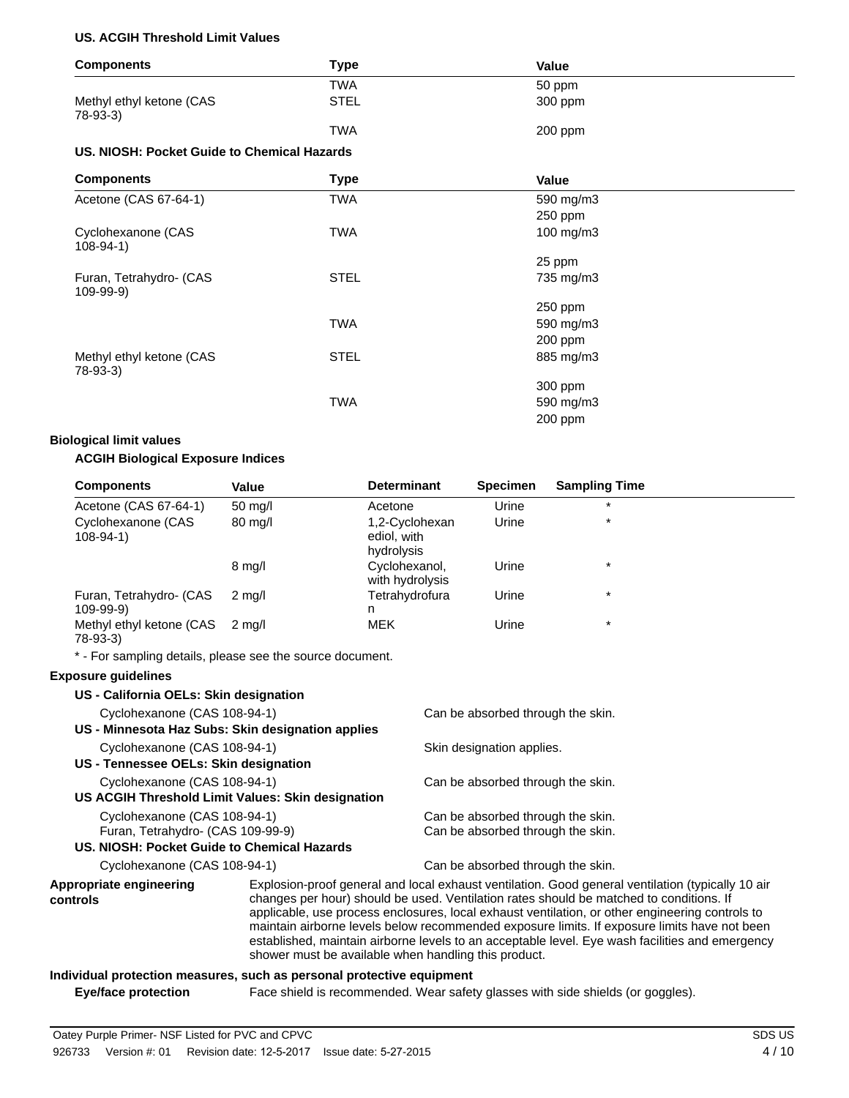#### **US. ACGIH Threshold Limit Values**

| <b>Components</b>                           | <b>Type</b> | Value     |  |
|---------------------------------------------|-------------|-----------|--|
|                                             | <b>TWA</b>  | 50 ppm    |  |
| Methyl ethyl ketone (CAS<br>78-93-3)        | <b>STEL</b> | 300 ppm   |  |
|                                             | <b>TWA</b>  | 200 ppm   |  |
| US. NIOSH: Pocket Guide to Chemical Hazards |             |           |  |
| <b>Components</b>                           | <b>Type</b> | Value     |  |
| Acetone (CAS 67-64-1)                       | TWA         | 590 mg/m3 |  |
|                                             |             | 250 ppm   |  |
| Cyclohexanone (CAS<br>$108-94-1)$           | <b>TWA</b>  | 100 mg/m3 |  |
|                                             |             | 25 ppm    |  |
| Furan, Tetrahydro- (CAS<br>109-99-9)        | <b>STEL</b> | 735 mg/m3 |  |
|                                             |             | 250 ppm   |  |
|                                             | <b>TWA</b>  | 590 mg/m3 |  |
|                                             |             | 200 ppm   |  |
| Methyl ethyl ketone (CAS<br>78-93-3)        | <b>STEL</b> | 885 mg/m3 |  |
|                                             |             | 300 ppm   |  |
|                                             | <b>TWA</b>  | 590 mg/m3 |  |
|                                             |             | 200 ppm   |  |

#### **Biological limit values**

#### **ACGIH Biological Exposure Indices**

| <b>Components</b>                          | Value             | <b>Determinant</b>                          | <b>Specimen</b> | <b>Sampling Time</b> |  |
|--------------------------------------------|-------------------|---------------------------------------------|-----------------|----------------------|--|
| Acetone (CAS 67-64-1)                      | $50 \text{ mq/l}$ | Acetone                                     | Urine           | $\star$              |  |
| Cyclohexanone (CAS<br>$108-94-1)$          | $80 \text{ mg/l}$ | 1,2-Cyclohexan<br>ediol, with<br>hydrolysis | Urine           | $\star$              |  |
|                                            | $8 \text{ mg/l}$  | Cyclohexanol,<br>with hydrolysis            | Urine           | $\star$              |  |
| Furan, Tetrahydro- (CAS<br>$109 - 99 - 9)$ | $2 \text{ ma/l}$  | Tetrahydrofura<br>n                         | Urine           | $\star$              |  |
| Methyl ethyl ketone (CAS<br>78-93-3)       | 2 ma/l            | <b>MEK</b>                                  | Urine           | $\star$              |  |

\* - For sampling details, please see the source document.

#### **Exposure guidelines**

| US - California OELs: Skin designation      |                                                   |                                                                                                                                                                                                                                                                                                 |
|---------------------------------------------|---------------------------------------------------|-------------------------------------------------------------------------------------------------------------------------------------------------------------------------------------------------------------------------------------------------------------------------------------------------|
| Cyclohexanone (CAS 108-94-1)                |                                                   | Can be absorbed through the skin.                                                                                                                                                                                                                                                               |
|                                             | US - Minnesota Haz Subs: Skin designation applies |                                                                                                                                                                                                                                                                                                 |
| Cyclohexanone (CAS 108-94-1)                |                                                   | Skin designation applies.                                                                                                                                                                                                                                                                       |
| US - Tennessee OELs: Skin designation       |                                                   |                                                                                                                                                                                                                                                                                                 |
| Cyclohexanone (CAS 108-94-1)                |                                                   | Can be absorbed through the skin.                                                                                                                                                                                                                                                               |
|                                             | US ACGIH Threshold Limit Values: Skin designation |                                                                                                                                                                                                                                                                                                 |
| Cyclohexanone (CAS 108-94-1)                |                                                   | Can be absorbed through the skin.                                                                                                                                                                                                                                                               |
| Furan, Tetrahydro- (CAS 109-99-9)           |                                                   | Can be absorbed through the skin.                                                                                                                                                                                                                                                               |
| US. NIOSH: Pocket Guide to Chemical Hazards |                                                   |                                                                                                                                                                                                                                                                                                 |
| Cyclohexanone (CAS 108-94-1)                |                                                   | Can be absorbed through the skin.                                                                                                                                                                                                                                                               |
| Appropriate engineering<br>controls         |                                                   | Explosion-proof general and local exhaust ventilation. Good general ventilation (typically 10 air<br>changes per hour) should be used. Ventilation rates should be matched to conditions. If<br>applicable, use process enclosures, local exhaust ventilation, or other engineering controls to |

# **Individual protection measures, such as personal protective equipment**

**Eye/face protection** Face shield is recommended. Wear safety glasses with side shields (or goggles).

shower must be available when handling this product.

maintain airborne levels below recommended exposure limits. If exposure limits have not been established, maintain airborne levels to an acceptable level. Eye wash facilities and emergency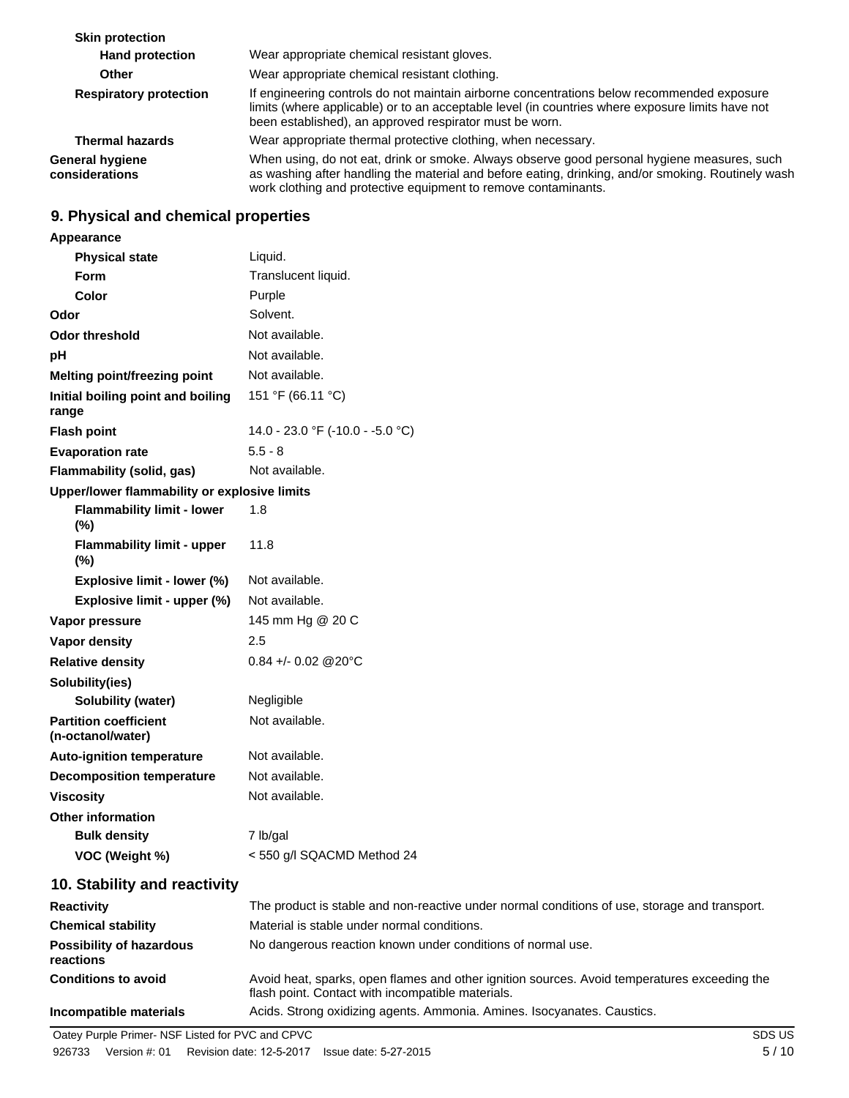| <b>Skin protection</b>                   |                                                                                                                                                                                                                                                                     |
|------------------------------------------|---------------------------------------------------------------------------------------------------------------------------------------------------------------------------------------------------------------------------------------------------------------------|
| <b>Hand protection</b>                   | Wear appropriate chemical resistant gloves.                                                                                                                                                                                                                         |
| <b>Other</b>                             | Wear appropriate chemical resistant clothing.                                                                                                                                                                                                                       |
| <b>Respiratory protection</b>            | If engineering controls do not maintain airborne concentrations below recommended exposure<br>limits (where applicable) or to an acceptable level (in countries where exposure limits have not<br>been established), an approved respirator must be worn.           |
| <b>Thermal hazards</b>                   | Wear appropriate thermal protective clothing, when necessary.                                                                                                                                                                                                       |
| <b>General hygiene</b><br>considerations | When using, do not eat, drink or smoke. Always observe good personal hygiene measures, such<br>as washing after handling the material and before eating, drinking, and/or smoking. Routinely wash<br>work clothing and protective equipment to remove contaminants. |

# **9. Physical and chemical properties**

**Appearance**

| <b>Physical state</b>                             | Liquid.                          |
|---------------------------------------------------|----------------------------------|
| Form                                              | Translucent liquid.              |
| Color                                             | Purple                           |
| Odor                                              | Solvent.                         |
| <b>Odor threshold</b>                             | Not available.                   |
| pH                                                | Not available.                   |
| <b>Melting point/freezing point</b>               | Not available.                   |
| Initial boiling point and boiling<br>range        | 151 °F (66.11 °C)                |
| <b>Flash point</b>                                | 14.0 - 23.0 °F (-10.0 - -5.0 °C) |
| <b>Evaporation rate</b>                           | $5.5 - 8$                        |
| Flammability (solid, gas)                         | Not available.                   |
| Upper/lower flammability or explosive limits      |                                  |
| <b>Flammability limit - lower</b><br>(%)          | 1.8                              |
| <b>Flammability limit - upper</b><br>$(\%)$       | 11.8                             |
| Explosive limit - lower (%)                       | Not available.                   |
| Explosive limit - upper (%)                       | Not available.                   |
| Vapor pressure                                    | 145 mm Hg @ 20 C                 |
| <b>Vapor density</b>                              | 2.5                              |
| <b>Relative density</b>                           | $0.84 + - 0.02$ @ 20 °C          |
| Solubility(ies)                                   |                                  |
| Solubility (water)                                | Negligible                       |
| <b>Partition coefficient</b><br>(n-octanol/water) | Not available.                   |
| <b>Auto-ignition temperature</b>                  | Not available.                   |
| <b>Decomposition temperature</b>                  | Not available.                   |
| <b>Viscosity</b>                                  | Not available.                   |
| <b>Other information</b>                          |                                  |
| <b>Bulk density</b>                               | 7 lb/gal                         |
| VOC (Weight %)                                    | < 550 g/l SQACMD Method 24       |

# **10. Stability and reactivity**

| <b>Reactivity</b>                            | The product is stable and non-reactive under normal conditions of use, storage and transport.                                                     |
|----------------------------------------------|---------------------------------------------------------------------------------------------------------------------------------------------------|
| <b>Chemical stability</b>                    | Material is stable under normal conditions.                                                                                                       |
| <b>Possibility of hazardous</b><br>reactions | No dangerous reaction known under conditions of normal use.                                                                                       |
| <b>Conditions to avoid</b>                   | Avoid heat, sparks, open flames and other ignition sources. Avoid temperatures exceeding the<br>flash point. Contact with incompatible materials. |
| Incompatible materials                       | Acids. Strong oxidizing agents. Ammonia. Amines. Isocyanates. Caustics.                                                                           |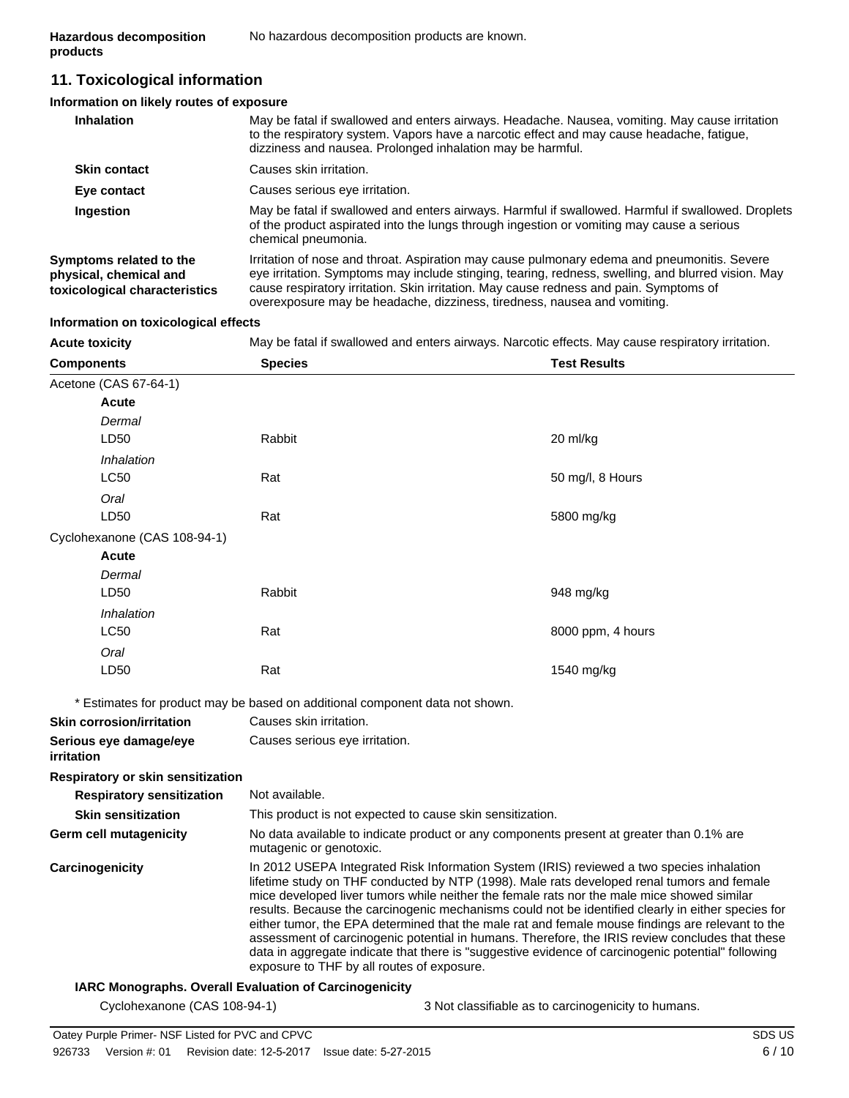# **11. Toxicological information**

#### **Information on likely routes of exposure**

| <b>Inhalation</b>                                                                  | May be fatal if swallowed and enters airways. Headache. Nausea, vomiting. May cause irritation<br>to the respiratory system. Vapors have a narcotic effect and may cause headache, fatigue,<br>dizziness and nausea. Prolonged inhalation may be harmful.                                                                                                               |
|------------------------------------------------------------------------------------|-------------------------------------------------------------------------------------------------------------------------------------------------------------------------------------------------------------------------------------------------------------------------------------------------------------------------------------------------------------------------|
| <b>Skin contact</b>                                                                | Causes skin irritation.                                                                                                                                                                                                                                                                                                                                                 |
| Eye contact                                                                        | Causes serious eye irritation.                                                                                                                                                                                                                                                                                                                                          |
| Ingestion                                                                          | May be fatal if swallowed and enters airways. Harmful if swallowed. Harmful if swallowed. Droplets<br>of the product aspirated into the lungs through ingestion or vomiting may cause a serious<br>chemical pneumonia.                                                                                                                                                  |
| Symptoms related to the<br>physical, chemical and<br>toxicological characteristics | Irritation of nose and throat. Aspiration may cause pulmonary edema and pneumonitis. Severe<br>eye irritation. Symptoms may include stinging, tearing, redness, swelling, and blurred vision. May<br>cause respiratory irritation. Skin irritation. May cause redness and pain. Symptoms of<br>overexposure may be headache, dizziness, tiredness, nausea and vomiting. |

#### **Information on toxicological effects**

**Acute toxicity** May be fatal if swallowed and enters airways. Narcotic effects. May cause respiratory irritation.

| <b>Components</b>                                           | <b>Species</b>                                                                                                      | <b>Test Results</b>                                                                                                                                                                                                                                                                                                                                                                                                                                                                                                                                                                                                                                                                                      |  |  |
|-------------------------------------------------------------|---------------------------------------------------------------------------------------------------------------------|----------------------------------------------------------------------------------------------------------------------------------------------------------------------------------------------------------------------------------------------------------------------------------------------------------------------------------------------------------------------------------------------------------------------------------------------------------------------------------------------------------------------------------------------------------------------------------------------------------------------------------------------------------------------------------------------------------|--|--|
| Acetone (CAS 67-64-1)                                       |                                                                                                                     |                                                                                                                                                                                                                                                                                                                                                                                                                                                                                                                                                                                                                                                                                                          |  |  |
| <b>Acute</b>                                                |                                                                                                                     |                                                                                                                                                                                                                                                                                                                                                                                                                                                                                                                                                                                                                                                                                                          |  |  |
| Dermal                                                      |                                                                                                                     |                                                                                                                                                                                                                                                                                                                                                                                                                                                                                                                                                                                                                                                                                                          |  |  |
| LD50                                                        | Rabbit                                                                                                              | 20 ml/kg                                                                                                                                                                                                                                                                                                                                                                                                                                                                                                                                                                                                                                                                                                 |  |  |
| Inhalation                                                  |                                                                                                                     |                                                                                                                                                                                                                                                                                                                                                                                                                                                                                                                                                                                                                                                                                                          |  |  |
| <b>LC50</b>                                                 | Rat                                                                                                                 | 50 mg/l, 8 Hours                                                                                                                                                                                                                                                                                                                                                                                                                                                                                                                                                                                                                                                                                         |  |  |
| Oral                                                        |                                                                                                                     |                                                                                                                                                                                                                                                                                                                                                                                                                                                                                                                                                                                                                                                                                                          |  |  |
| LD50                                                        | Rat                                                                                                                 | 5800 mg/kg                                                                                                                                                                                                                                                                                                                                                                                                                                                                                                                                                                                                                                                                                               |  |  |
| Cyclohexanone (CAS 108-94-1)                                |                                                                                                                     |                                                                                                                                                                                                                                                                                                                                                                                                                                                                                                                                                                                                                                                                                                          |  |  |
| Acute                                                       |                                                                                                                     |                                                                                                                                                                                                                                                                                                                                                                                                                                                                                                                                                                                                                                                                                                          |  |  |
| Dermal                                                      |                                                                                                                     |                                                                                                                                                                                                                                                                                                                                                                                                                                                                                                                                                                                                                                                                                                          |  |  |
| LD50                                                        | Rabbit                                                                                                              | 948 mg/kg                                                                                                                                                                                                                                                                                                                                                                                                                                                                                                                                                                                                                                                                                                |  |  |
| Inhalation                                                  |                                                                                                                     |                                                                                                                                                                                                                                                                                                                                                                                                                                                                                                                                                                                                                                                                                                          |  |  |
| <b>LC50</b>                                                 | Rat                                                                                                                 | 8000 ppm, 4 hours                                                                                                                                                                                                                                                                                                                                                                                                                                                                                                                                                                                                                                                                                        |  |  |
| Oral                                                        |                                                                                                                     |                                                                                                                                                                                                                                                                                                                                                                                                                                                                                                                                                                                                                                                                                                          |  |  |
| LD50                                                        | Rat                                                                                                                 | 1540 mg/kg                                                                                                                                                                                                                                                                                                                                                                                                                                                                                                                                                                                                                                                                                               |  |  |
|                                                             | * Estimates for product may be based on additional component data not shown.                                        |                                                                                                                                                                                                                                                                                                                                                                                                                                                                                                                                                                                                                                                                                                          |  |  |
| <b>Skin corrosion/irritation</b><br>Causes skin irritation. |                                                                                                                     |                                                                                                                                                                                                                                                                                                                                                                                                                                                                                                                                                                                                                                                                                                          |  |  |
| Serious eye damage/eye<br>irritation                        | Causes serious eye irritation.                                                                                      |                                                                                                                                                                                                                                                                                                                                                                                                                                                                                                                                                                                                                                                                                                          |  |  |
| Respiratory or skin sensitization                           |                                                                                                                     |                                                                                                                                                                                                                                                                                                                                                                                                                                                                                                                                                                                                                                                                                                          |  |  |
| <b>Respiratory sensitization</b>                            | Not available.                                                                                                      |                                                                                                                                                                                                                                                                                                                                                                                                                                                                                                                                                                                                                                                                                                          |  |  |
| <b>Skin sensitization</b>                                   | This product is not expected to cause skin sensitization.                                                           |                                                                                                                                                                                                                                                                                                                                                                                                                                                                                                                                                                                                                                                                                                          |  |  |
| Germ cell mutagenicity                                      | No data available to indicate product or any components present at greater than 0.1% are<br>mutagenic or genotoxic. |                                                                                                                                                                                                                                                                                                                                                                                                                                                                                                                                                                                                                                                                                                          |  |  |
| Carcinogenicity                                             | exposure to THF by all routes of exposure.                                                                          | In 2012 USEPA Integrated Risk Information System (IRIS) reviewed a two species inhalation<br>lifetime study on THF conducted by NTP (1998). Male rats developed renal tumors and female<br>mice developed liver tumors while neither the female rats nor the male mice showed similar<br>results. Because the carcinogenic mechanisms could not be identified clearly in either species for<br>either tumor, the EPA determined that the male rat and female mouse findings are relevant to the<br>assessment of carcinogenic potential in humans. Therefore, the IRIS review concludes that these<br>data in aggregate indicate that there is "suggestive evidence of carcinogenic potential" following |  |  |
|                                                             | <b>IARC Monographs. Overall Evaluation of Carcinogenicity</b>                                                       |                                                                                                                                                                                                                                                                                                                                                                                                                                                                                                                                                                                                                                                                                                          |  |  |

Cyclohexanone (CAS 108-94-1) 3 Not classifiable as to carcinogenicity to humans.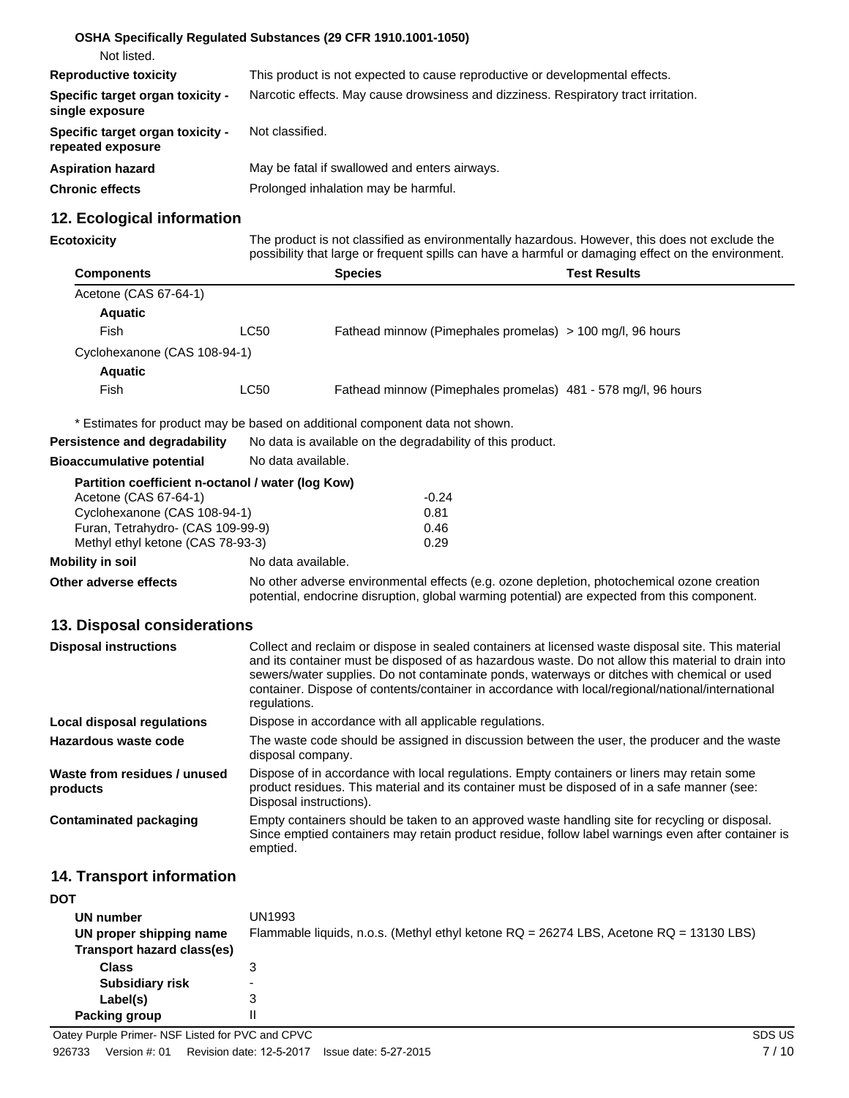|                                                       | OSHA Specifically Regulated Substances (29 CFR 1910.1001-1050)                      |
|-------------------------------------------------------|-------------------------------------------------------------------------------------|
| Not listed.                                           |                                                                                     |
| <b>Reproductive toxicity</b>                          | This product is not expected to cause reproductive or developmental effects.        |
| Specific target organ toxicity -<br>single exposure   | Narcotic effects. May cause drowsiness and dizziness. Respiratory tract irritation. |
| Specific target organ toxicity -<br>repeated exposure | Not classified.                                                                     |
| <b>Aspiration hazard</b>                              | May be fatal if swallowed and enters airways.                                       |
| <b>Chronic effects</b>                                | Prolonged inhalation may be harmful.                                                |

# **12. Ecological information**

| Ecotoxicity |  |  |
|-------------|--|--|
|             |  |  |

The product is not classified as environmentally hazardous. However, this does not exclude the possibility that large or frequent spills can have a harmful or damaging effect on the environment.

| <b>Components</b>            |      | <b>Species</b>                                                | <b>Test Results</b> |
|------------------------------|------|---------------------------------------------------------------|---------------------|
| Acetone (CAS 67-64-1)        |      |                                                               |                     |
| <b>Aquatic</b>               |      |                                                               |                     |
| Fish                         | LC50 | Fathead minnow (Pimephales promelas) $> 100$ mg/l, 96 hours   |                     |
| Cyclohexanone (CAS 108-94-1) |      |                                                               |                     |
| <b>Aquatic</b>               |      |                                                               |                     |
| Fish                         | LC50 | Fathead minnow (Pimephales promelas) 481 - 578 mg/l, 96 hours |                     |

|                                                   | * Estimates for product may be based on additional component data not shown.                                                                                                                                                                                                                                                                                                                                                 |         |  |
|---------------------------------------------------|------------------------------------------------------------------------------------------------------------------------------------------------------------------------------------------------------------------------------------------------------------------------------------------------------------------------------------------------------------------------------------------------------------------------------|---------|--|
| <b>Persistence and degradability</b>              | No data is available on the degradability of this product.                                                                                                                                                                                                                                                                                                                                                                   |         |  |
| <b>Bioaccumulative potential</b>                  | No data available.                                                                                                                                                                                                                                                                                                                                                                                                           |         |  |
| Partition coefficient n-octanol / water (log Kow) |                                                                                                                                                                                                                                                                                                                                                                                                                              |         |  |
| Acetone (CAS 67-64-1)                             |                                                                                                                                                                                                                                                                                                                                                                                                                              | $-0.24$ |  |
| Cyclohexanone (CAS 108-94-1)                      |                                                                                                                                                                                                                                                                                                                                                                                                                              | 0.81    |  |
| Furan, Tetrahydro- (CAS 109-99-9)                 |                                                                                                                                                                                                                                                                                                                                                                                                                              | 0.46    |  |
| Methyl ethyl ketone (CAS 78-93-3)                 |                                                                                                                                                                                                                                                                                                                                                                                                                              | 0.29    |  |
| Mobility in soil                                  | No data available.                                                                                                                                                                                                                                                                                                                                                                                                           |         |  |
| Other adverse effects                             | No other adverse environmental effects (e.g. ozone depletion, photochemical ozone creation<br>potential, endocrine disruption, global warming potential) are expected from this component.                                                                                                                                                                                                                                   |         |  |
| 13. Disposal considerations                       |                                                                                                                                                                                                                                                                                                                                                                                                                              |         |  |
| <b>Disposal instructions</b>                      | Collect and reclaim or dispose in sealed containers at licensed waste disposal site. This material<br>and its container must be disposed of as hazardous waste. Do not allow this material to drain into<br>sewers/water supplies. Do not contaminate ponds, waterways or ditches with chemical or used<br>container. Dispose of contents/container in accordance with local/regional/national/international<br>regulations. |         |  |

| Local disposal regulations | Dispose in accordance with all applicable regulations.                                       |
|----------------------------|----------------------------------------------------------------------------------------------|
| Hazardous waste code       | The waste code should be assigned in discussion between the user, the producer and the waste |

|                                          | disposal company.                                                                                                                                                                                                      |
|------------------------------------------|------------------------------------------------------------------------------------------------------------------------------------------------------------------------------------------------------------------------|
| Waste from residues / unused<br>products | Dispose of in accordance with local regulations. Empty containers or liners may retain some<br>product residues. This material and its container must be disposed of in a safe manner (see:<br>Disposal instructions). |
| Contaminated packaging                   | Empty containers should be taken to an approved waste handling site for recycling or disposal.<br>Since emptied containers may retain product residue, follow label warnings even after container is<br>emptied.       |

### **14. Transport information**

| <b>DOT</b>                 |                                                                                        |
|----------------------------|----------------------------------------------------------------------------------------|
| UN number                  | UN1993                                                                                 |
| UN proper shipping name    | Flammable liquids, n.o.s. (Methyl ethyl ketone RQ = 26274 LBS, Acetone RQ = 13130 LBS) |
| Transport hazard class(es) |                                                                                        |
| <b>Class</b>               | 3                                                                                      |
| <b>Subsidiary risk</b>     | ۰                                                                                      |
| Label(s)                   | 3                                                                                      |
| Packing group              | Ш                                                                                      |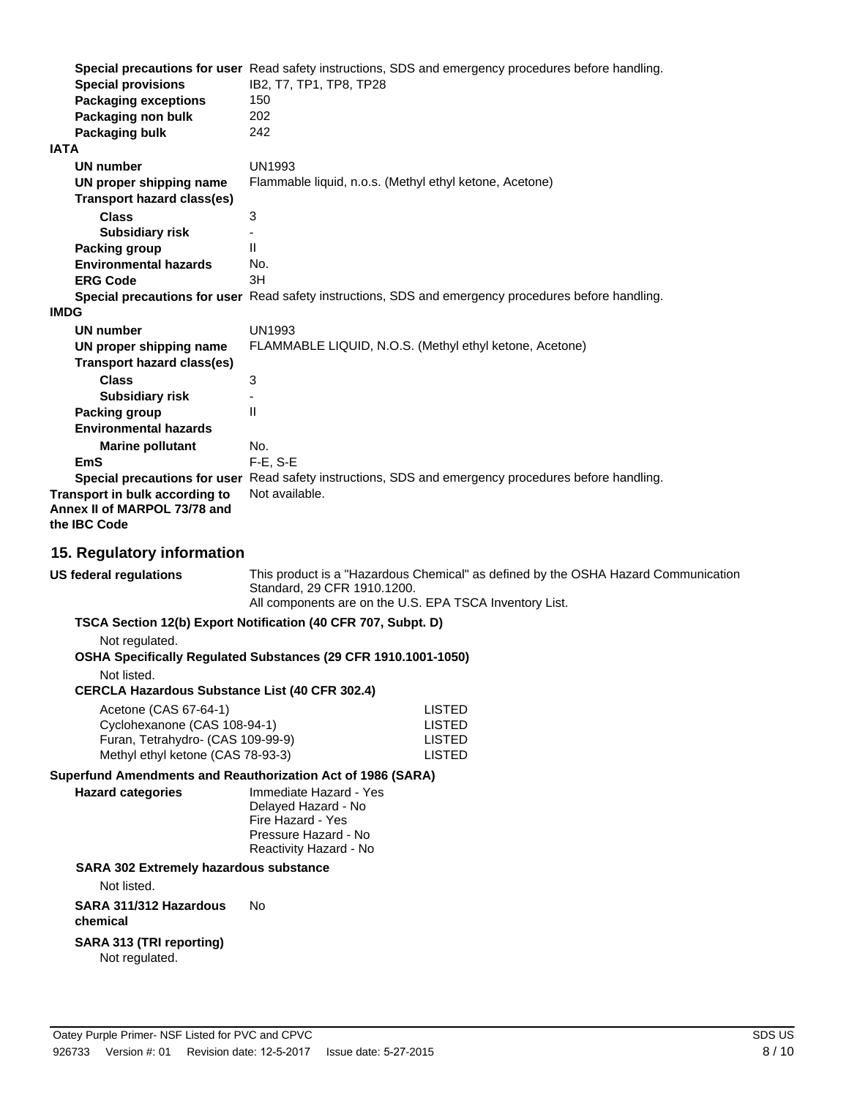|                                | Special precautions for user Read safety instructions, SDS and emergency procedures before handling. |
|--------------------------------|------------------------------------------------------------------------------------------------------|
| <b>Special provisions</b>      | IB2, T7, TP1, TP8, TP28                                                                              |
| <b>Packaging exceptions</b>    | 150                                                                                                  |
| Packaging non bulk             | 202                                                                                                  |
| Packaging bulk                 | 242                                                                                                  |
| <b>IATA</b>                    |                                                                                                      |
| UN number                      | <b>UN1993</b>                                                                                        |
| UN proper shipping name        | Flammable liquid, n.o.s. (Methyl ethyl ketone, Acetone)                                              |
| Transport hazard class(es)     |                                                                                                      |
| <b>Class</b>                   | 3                                                                                                    |
| <b>Subsidiary risk</b>         |                                                                                                      |
| Packing group                  | $\mathbf{H}$                                                                                         |
| <b>Environmental hazards</b>   | No.                                                                                                  |
| <b>ERG Code</b>                | 3H                                                                                                   |
|                                | Special precautions for user Read safety instructions, SDS and emergency procedures before handling. |
| <b>IMDG</b>                    |                                                                                                      |
| UN number                      | <b>UN1993</b>                                                                                        |
| UN proper shipping name        | FLAMMABLE LIQUID, N.O.S. (Methyl ethyl ketone, Acetone)                                              |
| Transport hazard class(es)     |                                                                                                      |
| <b>Class</b>                   | 3                                                                                                    |
| <b>Subsidiary risk</b>         |                                                                                                      |
| Packing group                  | $\mathbf{H}$                                                                                         |
| <b>Environmental hazards</b>   |                                                                                                      |
| <b>Marine pollutant</b>        | No.                                                                                                  |
| <b>EmS</b>                     | $F-E$ , S-E                                                                                          |
|                                | Special precautions for user Read safety instructions, SDS and emergency procedures before handling. |
| Transport in bulk according to | Not available.                                                                                       |
| Annex II of MARPOL 73/78 and   |                                                                                                      |
| the <b>IBC</b> Code            |                                                                                                      |
|                                |                                                                                                      |

#### **15. Regulatory information**

This product is a "Hazardous Chemical" as defined by the OSHA Hazard Communication Standard, 29 CFR 1910.1200. All components are on the U.S. EPA TSCA Inventory List. **US federal regulations TSCA Section 12(b) Export Notification (40 CFR 707, Subpt. D)** Not regulated. **OSHA Specifically Regulated Substances (29 CFR 1910.1001-1050)** Not listed. **CERCLA Hazardous Substance List (40 CFR 302.4)** Acetone (CAS 67-64-1) LISTED Cyclohexanone (CAS 108-94-1) LISTED Furan, Tetrahydro- (CAS 109-99-9) LISTED Methyl ethyl ketone (CAS 78-93-3) **Superfund Amendments and Reauthorization Act of 1986 (SARA)** Immediate Hazard - Yes Delayed Hazard - No Fire Hazard - Yes Pressure Hazard - No Reactivity Hazard - No **Hazard categories SARA 302 Extremely hazardous substance** Not listed. **SARA 311/312 Hazardous** No

**chemical**

#### **SARA 313 (TRI reporting)** Not regulated.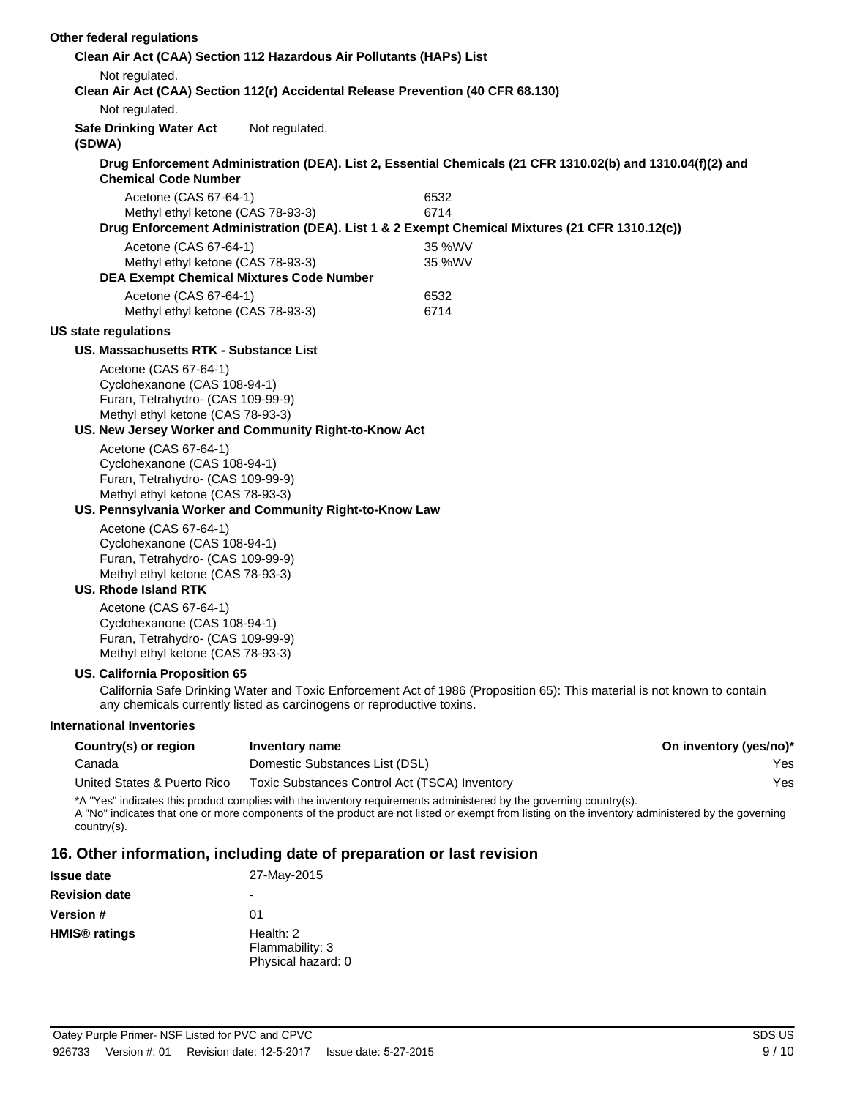| Other federal regulations                                                                                                                               |                                                                                  |                                                                                                                                                                                                                                                                        |                               |
|---------------------------------------------------------------------------------------------------------------------------------------------------------|----------------------------------------------------------------------------------|------------------------------------------------------------------------------------------------------------------------------------------------------------------------------------------------------------------------------------------------------------------------|-------------------------------|
|                                                                                                                                                         | Clean Air Act (CAA) Section 112 Hazardous Air Pollutants (HAPs) List             |                                                                                                                                                                                                                                                                        |                               |
| Not regulated.                                                                                                                                          | Clean Air Act (CAA) Section 112(r) Accidental Release Prevention (40 CFR 68.130) |                                                                                                                                                                                                                                                                        |                               |
| Not regulated.                                                                                                                                          |                                                                                  |                                                                                                                                                                                                                                                                        |                               |
| <b>Safe Drinking Water Act</b><br>(SDWA)                                                                                                                | Not regulated.                                                                   |                                                                                                                                                                                                                                                                        |                               |
| <b>Chemical Code Number</b>                                                                                                                             |                                                                                  | Drug Enforcement Administration (DEA). List 2, Essential Chemicals (21 CFR 1310.02(b) and 1310.04(f)(2) and                                                                                                                                                            |                               |
| Acetone (CAS 67-64-1)<br>Methyl ethyl ketone (CAS 78-93-3)                                                                                              |                                                                                  | 6532<br>6714<br>Drug Enforcement Administration (DEA). List 1 & 2 Exempt Chemical Mixtures (21 CFR 1310.12(c))                                                                                                                                                         |                               |
| Acetone (CAS 67-64-1)                                                                                                                                   |                                                                                  | 35 %WV                                                                                                                                                                                                                                                                 |                               |
| Methyl ethyl ketone (CAS 78-93-3)<br><b>DEA Exempt Chemical Mixtures Code Number</b>                                                                    |                                                                                  | 35 %WV                                                                                                                                                                                                                                                                 |                               |
| Acetone (CAS 67-64-1)<br>Methyl ethyl ketone (CAS 78-93-3)                                                                                              |                                                                                  | 6532<br>6714                                                                                                                                                                                                                                                           |                               |
| <b>US state regulations</b>                                                                                                                             |                                                                                  |                                                                                                                                                                                                                                                                        |                               |
| US. Massachusetts RTK - Substance List                                                                                                                  |                                                                                  |                                                                                                                                                                                                                                                                        |                               |
| Acetone (CAS 67-64-1)<br>Cyclohexanone (CAS 108-94-1)<br>Furan, Tetrahydro- (CAS 109-99-9)<br>Methyl ethyl ketone (CAS 78-93-3)                         |                                                                                  |                                                                                                                                                                                                                                                                        |                               |
|                                                                                                                                                         | US. New Jersey Worker and Community Right-to-Know Act                            |                                                                                                                                                                                                                                                                        |                               |
| Acetone (CAS 67-64-1)<br>Cyclohexanone (CAS 108-94-1)<br>Furan, Tetrahydro- (CAS 109-99-9)<br>Methyl ethyl ketone (CAS 78-93-3)                         | US. Pennsylvania Worker and Community Right-to-Know Law                          |                                                                                                                                                                                                                                                                        |                               |
| Acetone (CAS 67-64-1)<br>Cyclohexanone (CAS 108-94-1)<br>Furan, Tetrahydro- (CAS 109-99-9)<br>Methyl ethyl ketone (CAS 78-93-3)<br>US. Rhode Island RTK |                                                                                  |                                                                                                                                                                                                                                                                        |                               |
| Acetone (CAS 67-64-1)<br>Cyclohexanone (CAS 108-94-1)<br>Furan, Tetrahydro- (CAS 109-99-9)<br>Methyl ethyl ketone (CAS 78-93-3)                         |                                                                                  |                                                                                                                                                                                                                                                                        |                               |
| <b>US. California Proposition 65</b>                                                                                                                    | any chemicals currently listed as carcinogens or reproductive toxins.            | California Safe Drinking Water and Toxic Enforcement Act of 1986 (Proposition 65): This material is not known to contain                                                                                                                                               |                               |
| <b>International Inventories</b>                                                                                                                        |                                                                                  |                                                                                                                                                                                                                                                                        |                               |
| Country(s) or region<br>Canada                                                                                                                          | <b>Inventory name</b><br>Domestic Substances List (DSL)                          |                                                                                                                                                                                                                                                                        | On inventory (yes/no)*<br>Yes |
| United States & Puerto Rico                                                                                                                             | Toxic Substances Control Act (TSCA) Inventory                                    |                                                                                                                                                                                                                                                                        | Yes                           |
| country(s).                                                                                                                                             |                                                                                  | *A "Yes" indicates this product complies with the inventory requirements administered by the governing country(s).<br>A "No" indicates that one or more components of the product are not listed or exempt from listing on the inventory administered by the governing |                               |
|                                                                                                                                                         | 16. Other information, including date of preparation or last revision            |                                                                                                                                                                                                                                                                        |                               |
| <b>Issue date</b>                                                                                                                                       | 27-May-2015                                                                      |                                                                                                                                                                                                                                                                        |                               |
| <b>Revision date</b>                                                                                                                                    |                                                                                  |                                                                                                                                                                                                                                                                        |                               |
| Version #                                                                                                                                               | 01                                                                               |                                                                                                                                                                                                                                                                        |                               |

| <b>Version</b> #                | 01                                                 |
|---------------------------------|----------------------------------------------------|
| <b>HMIS<sup>®</sup></b> ratings | Health: 2<br>Flammability: 3<br>Physical hazard: 0 |